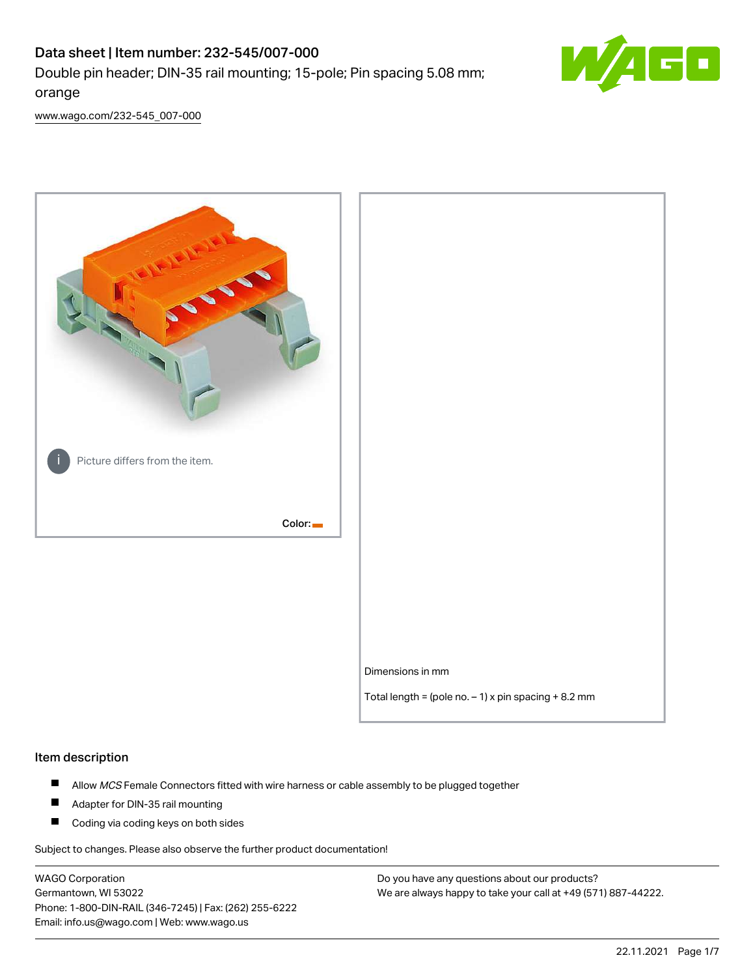# Data sheet | Item number: 232-545/007-000 Double pin header; DIN-35 rail mounting; 15-pole; Pin spacing 5.08 mm; orange



[www.wago.com/232-545\\_007-000](http://www.wago.com/232-545_007-000)



#### Item description

- $\blacksquare$ Allow MCS Female Connectors fitted with wire harness or cable assembly to be plugged together
- $\blacksquare$ Adapter for DIN-35 rail mounting
- $\blacksquare$ Coding via coding keys on both sides

Subject to changes. Please also observe the further product documentation!

WAGO Corporation Germantown, WI 53022 Phone: 1-800-DIN-RAIL (346-7245) | Fax: (262) 255-6222 Email: info.us@wago.com | Web: www.wago.us

Do you have any questions about our products? We are always happy to take your call at +49 (571) 887-44222.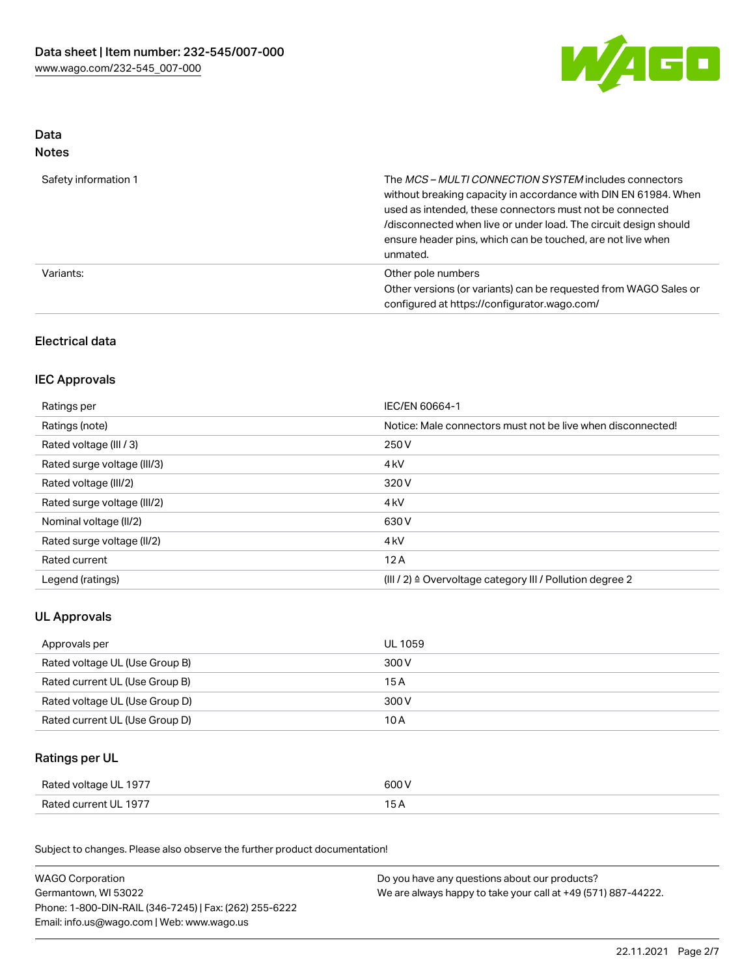

### Data Notes

| Safety information 1 | The <i>MCS – MULTI CONNECTION SYSTEM</i> includes connectors<br>without breaking capacity in accordance with DIN EN 61984. When<br>used as intended, these connectors must not be connected<br>/disconnected when live or under load. The circuit design should<br>ensure header pins, which can be touched, are not live when<br>unmated. |
|----------------------|--------------------------------------------------------------------------------------------------------------------------------------------------------------------------------------------------------------------------------------------------------------------------------------------------------------------------------------------|
| Variants:            | Other pole numbers<br>Other versions (or variants) can be requested from WAGO Sales or<br>configured at https://configurator.wago.com/                                                                                                                                                                                                     |

# Electrical data

## IEC Approvals

| Ratings per                 | IEC/EN 60664-1                                                        |
|-----------------------------|-----------------------------------------------------------------------|
| Ratings (note)              | Notice: Male connectors must not be live when disconnected!           |
| Rated voltage (III / 3)     | 250 V                                                                 |
| Rated surge voltage (III/3) | 4 <sub>k</sub> V                                                      |
| Rated voltage (III/2)       | 320 V                                                                 |
| Rated surge voltage (III/2) | 4 <sub>k</sub> V                                                      |
| Nominal voltage (II/2)      | 630 V                                                                 |
| Rated surge voltage (II/2)  | 4 <sub>k</sub> V                                                      |
| Rated current               | 12A                                                                   |
| Legend (ratings)            | $(III / 2)$ $\triangle$ Overvoltage category III / Pollution degree 2 |

# UL Approvals

| Approvals per                  | UL 1059 |
|--------------------------------|---------|
| Rated voltage UL (Use Group B) | 300 V   |
| Rated current UL (Use Group B) | 15 A    |
| Rated voltage UL (Use Group D) | 300 V   |
| Rated current UL (Use Group D) | 10 A    |

# Ratings per UL

| Rated voltage UL 1977 | 600 V |
|-----------------------|-------|
| Rated current UL 1977 |       |

Subject to changes. Please also observe the further product documentation!

| <b>WAGO Corporation</b>                                | Do you have any questions about our products?                 |  |
|--------------------------------------------------------|---------------------------------------------------------------|--|
| Germantown, WI 53022                                   | We are always happy to take your call at +49 (571) 887-44222. |  |
| Phone: 1-800-DIN-RAIL (346-7245)   Fax: (262) 255-6222 |                                                               |  |
| Email: info.us@wago.com   Web: www.wago.us             |                                                               |  |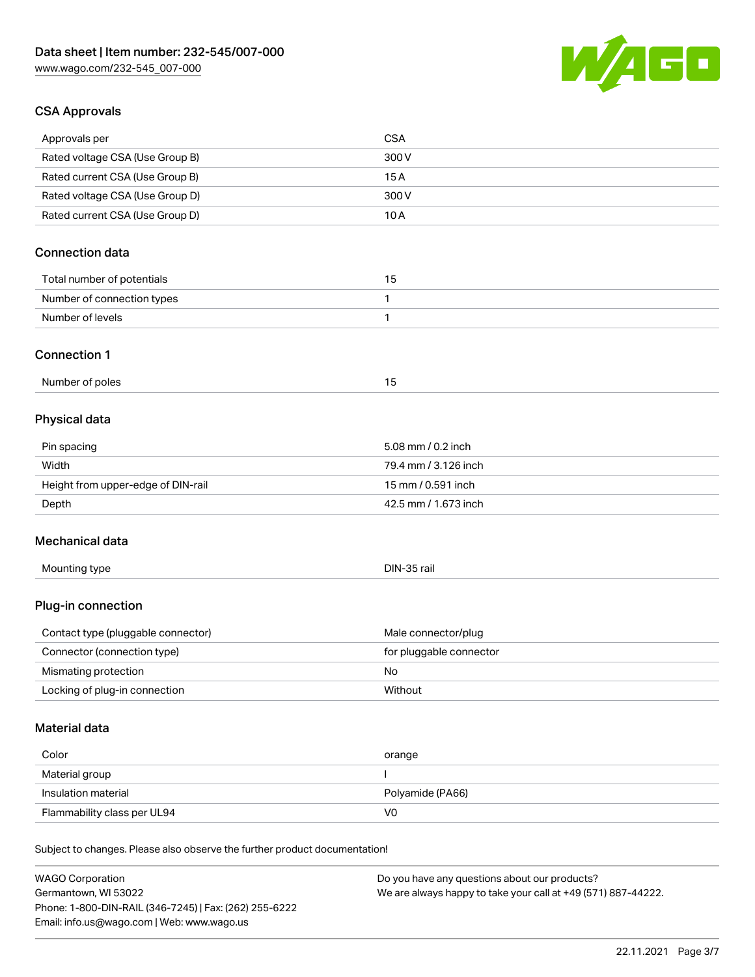

## CSA Approvals

| Approvals per                                                              | <b>CSA</b>                                    |
|----------------------------------------------------------------------------|-----------------------------------------------|
| Rated voltage CSA (Use Group B)                                            | 300V                                          |
| Rated current CSA (Use Group B)                                            | 15A                                           |
| Rated voltage CSA (Use Group D)                                            | 300 V                                         |
| Rated current CSA (Use Group D)                                            | 10A                                           |
| <b>Connection data</b>                                                     |                                               |
| Total number of potentials                                                 | 15                                            |
| Number of connection types                                                 | 1                                             |
| Number of levels                                                           | $\mathbf{1}$                                  |
| <b>Connection 1</b>                                                        |                                               |
| Number of poles                                                            | 15                                            |
| Physical data                                                              |                                               |
| Pin spacing                                                                | 5.08 mm / 0.2 inch                            |
| Width                                                                      | 79.4 mm / 3.126 inch                          |
| Height from upper-edge of DIN-rail                                         | 15 mm / 0.591 inch                            |
| Depth                                                                      | 42.5 mm / 1.673 inch                          |
| Mechanical data                                                            |                                               |
| Mounting type                                                              | DIN-35 rail                                   |
| Plug-in connection                                                         |                                               |
| Contact type (pluggable connector)                                         | Male connector/plug                           |
| Connector (connection type)                                                | for pluggable connector                       |
| Mismating protection                                                       | No                                            |
| Locking of plug-in connection                                              | Without                                       |
| <b>Material data</b>                                                       |                                               |
| Color                                                                      | orange                                        |
| Material group                                                             |                                               |
| Insulation material                                                        | Polyamide (PA66)                              |
| Flammability class per UL94                                                | V <sub>0</sub>                                |
| Subject to changes. Please also observe the further product documentation! |                                               |
| <b>WAGO Corporation</b>                                                    | Do you have any questions about our products? |

Germantown, WI 53022 Phone: 1-800-DIN-RAIL (346-7245) | Fax: (262) 255-6222 Email: info.us@wago.com | Web: www.wago.us

We are always happy to take your call at +49 (571) 887-44222.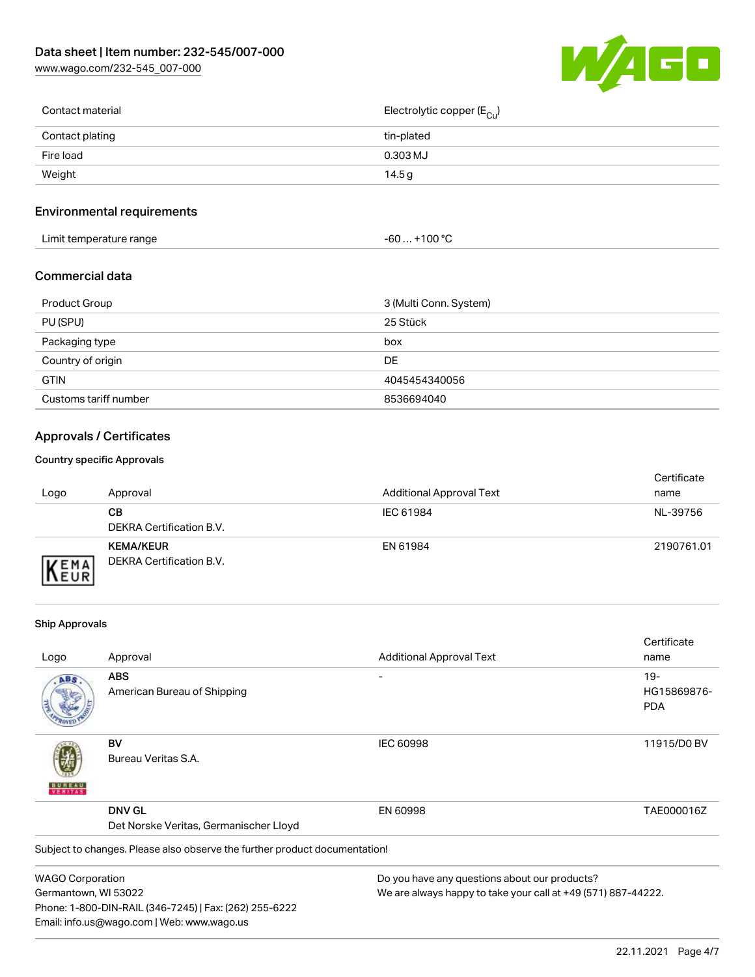[www.wago.com/232-545\\_007-000](http://www.wago.com/232-545_007-000)



| Contact material | Electrolytic copper (E <sub>Cu</sub> ) |
|------------------|----------------------------------------|
| Contact plating  | tin-plated                             |
| Fire load        | 0.303 MJ                               |
| Weight           | 14.5 g                                 |
|                  |                                        |

# Environmental requirements

| Limit temperature range<br>the contract of the contract of the contract of the contract of the contract of the contract of the contract of | +100 °C<br>-60 |
|--------------------------------------------------------------------------------------------------------------------------------------------|----------------|
|--------------------------------------------------------------------------------------------------------------------------------------------|----------------|

### Commercial data

| Product Group         | 3 (Multi Conn. System) |
|-----------------------|------------------------|
| PU (SPU)              | 25 Stück               |
| Packaging type        | box                    |
| Country of origin     | DE.                    |
| <b>GTIN</b>           | 4045454340056          |
| Customs tariff number | 8536694040             |

# Approvals / Certificates

#### Country specific Approvals

| Logo               | Approval                                     | <b>Additional Approval Text</b> | Certificate<br>name |
|--------------------|----------------------------------------------|---------------------------------|---------------------|
|                    | CВ<br>DEKRA Certification B.V.               | IEC 61984                       | NL-39756            |
| EMA<br><b>NEUR</b> | <b>KEMA/KEUR</b><br>DEKRA Certification B.V. | EN 61984                        | 2190761.01          |

#### Ship Approvals

Email: info.us@wago.com | Web: www.wago.us

|                                        |                                                                            |                                                               | Certificate |
|----------------------------------------|----------------------------------------------------------------------------|---------------------------------------------------------------|-------------|
| Logo                                   | Approval                                                                   | <b>Additional Approval Text</b>                               | name        |
| ABS                                    | <b>ABS</b>                                                                 |                                                               | $19-$       |
|                                        | American Bureau of Shipping                                                |                                                               | HG15869876- |
|                                        |                                                                            |                                                               | <b>PDA</b>  |
|                                        | BV                                                                         | <b>IEC 60998</b>                                              | 11915/D0 BV |
| VERITAS                                | Bureau Veritas S.A.                                                        |                                                               |             |
|                                        | <b>DNV GL</b>                                                              | EN 60998                                                      | TAE000016Z  |
| Det Norske Veritas, Germanischer Lloyd |                                                                            |                                                               |             |
|                                        | Subject to changes. Please also observe the further product documentation! |                                                               |             |
| <b>WAGO Corporation</b>                |                                                                            | Do you have any questions about our products?                 |             |
| Germantown, WI 53022                   |                                                                            | We are always happy to take your call at +49 (571) 887-44222. |             |
|                                        | Phone: 1-800-DIN-RAIL (346-7245)   Fax: (262) 255-6222                     |                                                               |             |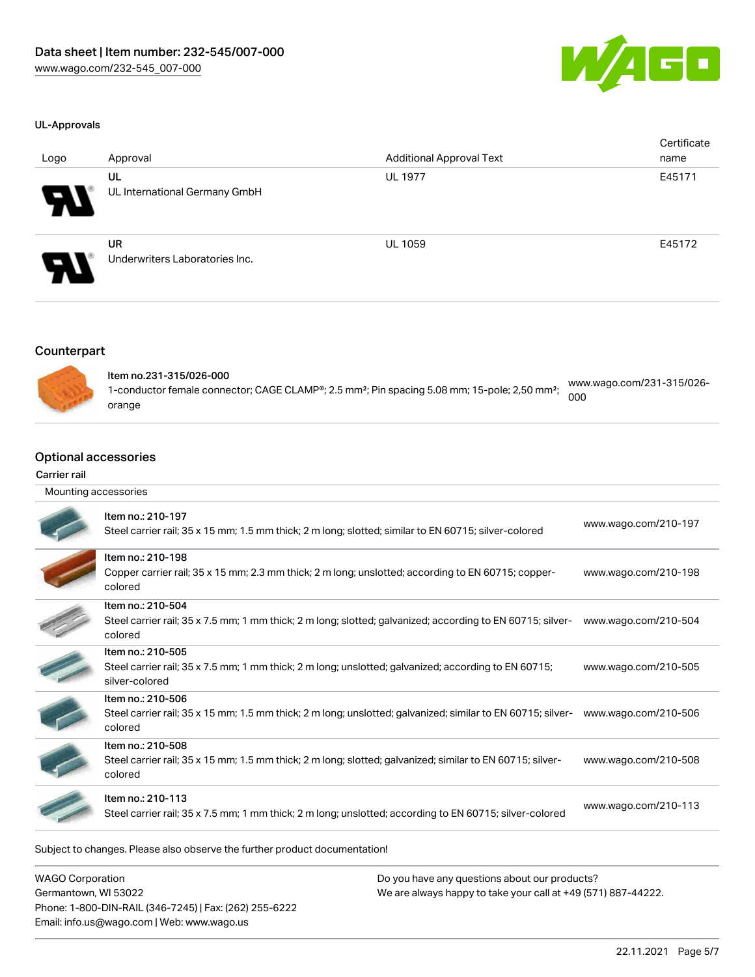

#### UL-Approvals

| Logo                  | Approval                                    | <b>Additional Approval Text</b> | Certificate<br>name |
|-----------------------|---------------------------------------------|---------------------------------|---------------------|
| $\boldsymbol{\theta}$ | UL<br>UL International Germany GmbH         | <b>UL 1977</b>                  | E45171              |
| $\boldsymbol{\theta}$ | <b>UR</b><br>Underwriters Laboratories Inc. | <b>UL 1059</b>                  | E45172              |

### **Counterpart**



| ltem no.231-315/026-000                                                                                               | www.wago.com/231-315/026- |
|-----------------------------------------------------------------------------------------------------------------------|---------------------------|
| 1-conductor female connector; CAGE CLAMP®; 2.5 mm <sup>2</sup> ; Pin spacing 5.08 mm; 15-pole; 2,50 mm <sup>2</sup> ; | 000                       |
| orange                                                                                                                |                           |

### Optional accessories

#### Carrier rail

| Mounting accessories |                                                                                                                                             |                      |
|----------------------|---------------------------------------------------------------------------------------------------------------------------------------------|----------------------|
|                      | Item no.: 210-197<br>Steel carrier rail; 35 x 15 mm; 1.5 mm thick; 2 m long; slotted; similar to EN 60715; silver-colored                   | www.wago.com/210-197 |
|                      | Item no.: 210-198<br>Copper carrier rail; 35 x 15 mm; 2.3 mm thick; 2 m long; unslotted; according to EN 60715; copper-<br>colored          | www.wago.com/210-198 |
|                      | Item no.: 210-504<br>Steel carrier rail; 35 x 7.5 mm; 1 mm thick; 2 m long; slotted; galvanized; according to EN 60715; silver-<br>colored  | www.wago.com/210-504 |
|                      | Item no.: 210-505<br>Steel carrier rail; 35 x 7.5 mm; 1 mm thick; 2 m long; unslotted; galvanized; according to EN 60715;<br>silver-colored | www.wago.com/210-505 |
|                      | Item no.: 210-506<br>Steel carrier rail; 35 x 15 mm; 1.5 mm thick; 2 m long; unslotted; galvanized; similar to EN 60715; silver-<br>colored | www.wago.com/210-506 |
|                      | Item no.: 210-508<br>Steel carrier rail; 35 x 15 mm; 1.5 mm thick; 2 m long; slotted; galvanized; similar to EN 60715; silver-<br>colored   | www.wago.com/210-508 |
|                      | Item no.: 210-113<br>Steel carrier rail; 35 x 7.5 mm; 1 mm thick; 2 m long; unslotted; according to EN 60715; silver-colored                | www.wago.com/210-113 |
|                      |                                                                                                                                             |                      |

Subject to changes. Please also observe the further product documentation!

WAGO Corporation Germantown, WI 53022 Phone: 1-800-DIN-RAIL (346-7245) | Fax: (262) 255-6222 Email: info.us@wago.com | Web: www.wago.us

Do you have any questions about our products? We are always happy to take your call at +49 (571) 887-44222.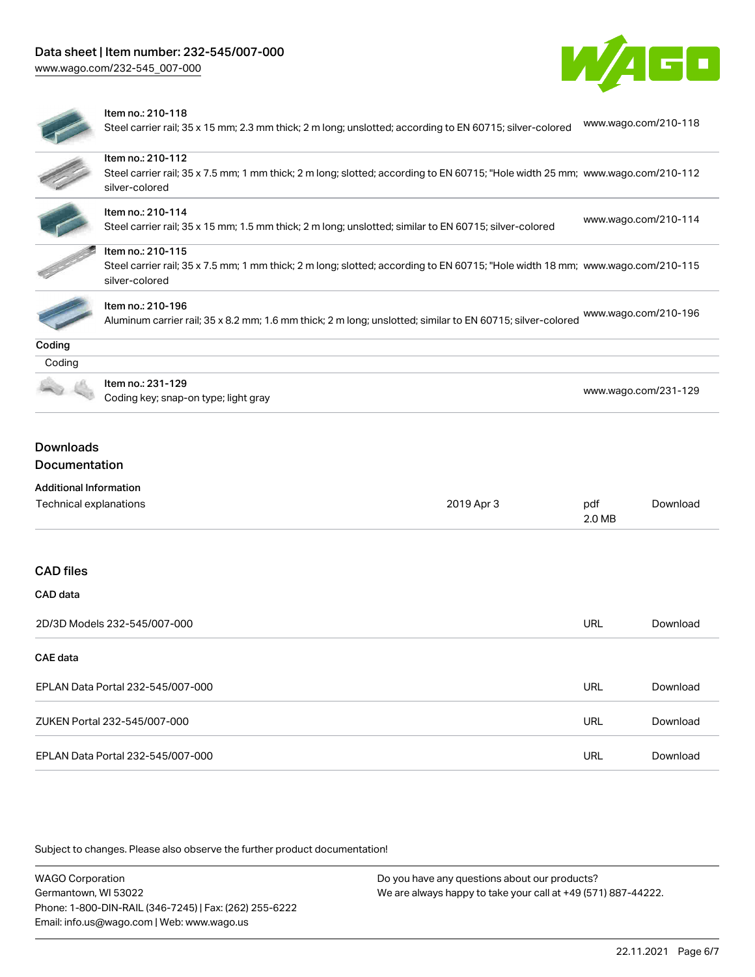

#### Item no.: 210-118

Steel carrier rail; 35 x 15 mm; 2.3 mm thick; 2 m long; unslotted; according to EN 60715; silver-colored [www.wago.com/210-118](http://www.wago.com/210-118)

|                               | Item no.: 210-112<br>Steel carrier rail; 35 x 7.5 mm; 1 mm thick; 2 m long; slotted; according to EN 60715; "Hole width 25 mm; www.wago.com/210-112<br>silver-colored |               |                      |
|-------------------------------|-----------------------------------------------------------------------------------------------------------------------------------------------------------------------|---------------|----------------------|
|                               | Item no.: 210-114<br>Steel carrier rail; 35 x 15 mm; 1.5 mm thick; 2 m long; unslotted; similar to EN 60715; silver-colored                                           |               | www.wago.com/210-114 |
|                               | Item no.: 210-115<br>Steel carrier rail; 35 x 7.5 mm; 1 mm thick; 2 m long; slotted; according to EN 60715; "Hole width 18 mm; www.wago.com/210-115<br>silver-colored |               |                      |
|                               | Item no.: 210-196<br>Aluminum carrier rail; 35 x 8.2 mm; 1.6 mm thick; 2 m long; unslotted; similar to EN 60715; silver-colored                                       |               | www.wago.com/210-196 |
| Coding                        |                                                                                                                                                                       |               |                      |
| Coding                        |                                                                                                                                                                       |               |                      |
|                               | Item no.: 231-129<br>www.wago.com/231-129<br>Coding key; snap-on type; light gray                                                                                     |               |                      |
| <b>Downloads</b>              |                                                                                                                                                                       |               |                      |
| Documentation                 |                                                                                                                                                                       |               |                      |
| <b>Additional Information</b> |                                                                                                                                                                       |               |                      |
| Technical explanations        | 2019 Apr 3                                                                                                                                                            | pdf<br>2.0 MB | Download             |
| <b>CAD</b> files              |                                                                                                                                                                       |               |                      |
| CAD data                      |                                                                                                                                                                       |               |                      |
|                               | 2D/3D Models 232-545/007-000                                                                                                                                          | <b>URL</b>    | Download             |
| <b>CAE</b> data               |                                                                                                                                                                       |               |                      |
|                               | EPLAN Data Portal 232-545/007-000                                                                                                                                     | <b>URL</b>    | Download             |
|                               | ZUKEN Portal 232-545/007-000                                                                                                                                          | <b>URL</b>    | Download             |
|                               | EPLAN Data Portal 232-545/007-000                                                                                                                                     | URL           | Download             |

Subject to changes. Please also observe the further product documentation!

| <b>WAGO Corporation</b>                                | Do you have any questions about our products?                 |
|--------------------------------------------------------|---------------------------------------------------------------|
| Germantown, WI 53022                                   | We are always happy to take your call at +49 (571) 887-44222. |
| Phone: 1-800-DIN-RAIL (346-7245)   Fax: (262) 255-6222 |                                                               |
| Email: info.us@wago.com   Web: www.wago.us             |                                                               |